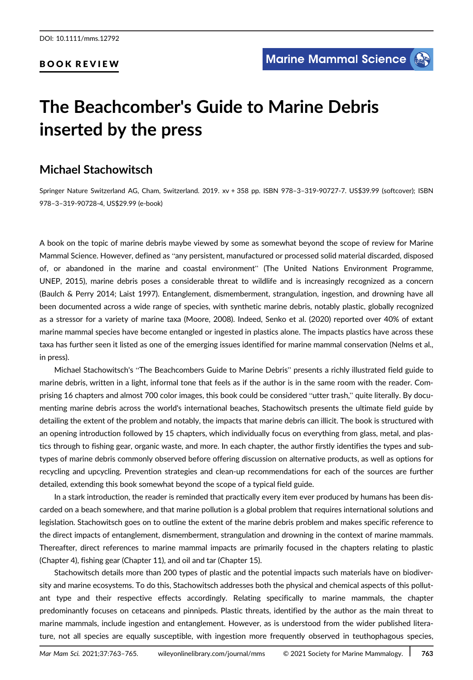## BOOK REVIEW

# The Beachcomber's Guide to Marine Debris inserted by the press

# Michael Stachowitsch

Springer Nature Switzerland AG, Cham, Switzerland. 2019. xv + 358 pp. ISBN 978–3–319-90727-7. US\$39.99 (softcover); ISBN 978–3–319-90728-4, US\$29.99 (e-book)

A book on the topic of marine debris maybe viewed by some as somewhat beyond the scope of review for Marine Mammal Science. However, defined as "any persistent, manufactured or processed solid material discarded, disposed of, or abandoned in the marine and coastal environment" (The United Nations Environment Programme, UNEP, 2015), marine debris poses a considerable threat to wildlife and is increasingly recognized as a concern (Baulch & Perry 2014; Laist 1997). Entanglement, dismemberment, strangulation, ingestion, and drowning have all been documented across a wide range of species, with synthetic marine debris, notably plastic, globally recognized as a stressor for a variety of marine taxa (Moore, 2008). Indeed, Senko et al. (2020) reported over 40% of extant marine mammal species have become entangled or ingested in plastics alone. The impacts plastics have across these taxa has further seen it listed as one of the emerging issues identified for marine mammal conservation (Nelms et al., in press).

Michael Stachowitsch's "The Beachcombers Guide to Marine Debris" presents a richly illustrated field guide to marine debris, written in a light, informal tone that feels as if the author is in the same room with the reader. Comprising 16 chapters and almost 700 color images, this book could be considered "utter trash," quite literally. By documenting marine debris across the world's international beaches, Stachowitsch presents the ultimate field guide by detailing the extent of the problem and notably, the impacts that marine debris can illicit. The book is structured with an opening introduction followed by 15 chapters, which individually focus on everything from glass, metal, and plastics through to fishing gear, organic waste, and more. In each chapter, the author firstly identifies the types and subtypes of marine debris commonly observed before offering discussion on alternative products, as well as options for recycling and upcycling. Prevention strategies and clean-up recommendations for each of the sources are further detailed, extending this book somewhat beyond the scope of a typical field guide.

In a stark introduction, the reader is reminded that practically every item ever produced by humans has been discarded on a beach somewhere, and that marine pollution is a global problem that requires international solutions and legislation. Stachowitsch goes on to outline the extent of the marine debris problem and makes specific reference to the direct impacts of entanglement, dismemberment, strangulation and drowning in the context of marine mammals. Thereafter, direct references to marine mammal impacts are primarily focused in the chapters relating to plastic (Chapter 4), fishing gear (Chapter 11), and oil and tar (Chapter 15).

Stachowitsch details more than 200 types of plastic and the potential impacts such materials have on biodiversity and marine ecosystems. To do this, Stachowitsch addresses both the physical and chemical aspects of this pollutant type and their respective effects accordingly. Relating specifically to marine mammals, the chapter predominantly focuses on cetaceans and pinnipeds. Plastic threats, identified by the author as the main threat to marine mammals, include ingestion and entanglement. However, as is understood from the wider published literature, not all species are equally susceptible, with ingestion more frequently observed in teuthophagous species,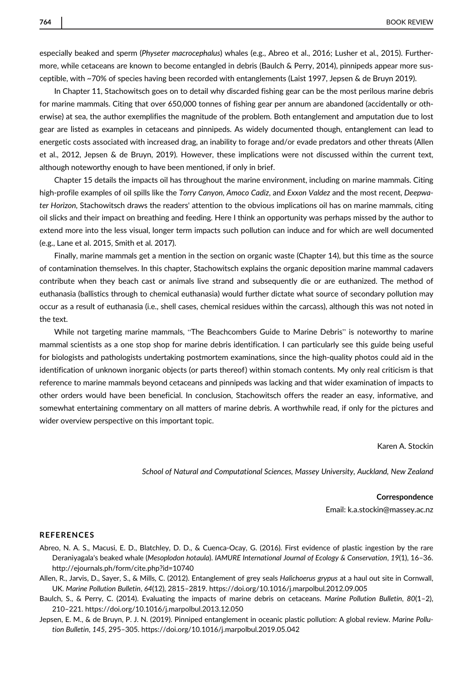especially beaked and sperm (Physeter macrocephalus) whales (e.g., Abreo et al., 2016; Lusher et al., 2015). Furthermore, while cetaceans are known to become entangled in debris (Baulch & Perry, 2014), pinnipeds appear more susceptible, with ~70% of species having been recorded with entanglements (Laist 1997, Jepsen & de Bruyn 2019).

In Chapter 11, Stachowitsch goes on to detail why discarded fishing gear can be the most perilous marine debris for marine mammals. Citing that over 650,000 tonnes of fishing gear per annum are abandoned (accidentally or otherwise) at sea, the author exemplifies the magnitude of the problem. Both entanglement and amputation due to lost gear are listed as examples in cetaceans and pinnipeds. As widely documented though, entanglement can lead to energetic costs associated with increased drag, an inability to forage and/or evade predators and other threats (Allen et al., 2012, Jepsen & de Bruyn, 2019). However, these implications were not discussed within the current text, although noteworthy enough to have been mentioned, if only in brief.

Chapter 15 details the impacts oil has throughout the marine environment, including on marine mammals. Citing high-profile examples of oil spills like the Torry Canyon, Amoco Cadiz, and Exxon Valdez and the most recent, Deepwater Horizon, Stachowitsch draws the readers' attention to the obvious implications oil has on marine mammals, citing oil slicks and their impact on breathing and feeding. Here I think an opportunity was perhaps missed by the author to extend more into the less visual, longer term impacts such pollution can induce and for which are well documented (e.g., Lane et al. 2015, Smith et al. 2017).

Finally, marine mammals get a mention in the section on organic waste (Chapter 14), but this time as the source of contamination themselves. In this chapter, Stachowitsch explains the organic deposition marine mammal cadavers contribute when they beach cast or animals live strand and subsequently die or are euthanized. The method of euthanasia (ballistics through to chemical euthanasia) would further dictate what source of secondary pollution may occur as a result of euthanasia (i.e., shell cases, chemical residues within the carcass), although this was not noted in the text.

While not targeting marine mammals, "The Beachcombers Guide to Marine Debris" is noteworthy to marine mammal scientists as a one stop shop for marine debris identification. I can particularly see this guide being useful for biologists and pathologists undertaking postmortem examinations, since the high-quality photos could aid in the identification of unknown inorganic objects (or parts thereof) within stomach contents. My only real criticism is that reference to marine mammals beyond cetaceans and pinnipeds was lacking and that wider examination of impacts to other orders would have been beneficial. In conclusion, Stachowitsch offers the reader an easy, informative, and somewhat entertaining commentary on all matters of marine debris. A worthwhile read, if only for the pictures and wider overview perspective on this important topic.

Karen A. Stockin

School of Natural and Computational Sciences, Massey University, Auckland, New Zealand

#### Correspondence

Email: k.a.stockin@massey.ac.nz

### **REFERENCES**

Abreo, N. A. S., Macusi, E. D., Blatchley, D. D., & Cuenca-Ocay, G. (2016). First evidence of plastic ingestion by the rare Deraniyagala's beaked whale (Mesoplodon hotaula). IAMURE International Journal of Ecology & Conservation, 19(1), 16–36. <http://ejournals.ph/form/cite.php?id=10740>

Allen, R., Jarvis, D., Sayer, S., & Mills, C. (2012). Entanglement of grey seals Halichoerus grypus at a haul out site in Cornwall, UK. Marine Pollution Bulletin, 64(12), 2815–2819.<https://doi.org/10.1016/j.marpolbul.2012.09.005>

Baulch, S., & Perry, C. (2014). Evaluating the impacts of marine debris on cetaceans. Marine Pollution Bulletin, 80(1–2), 210–221.<https://doi.org/10.1016/j.marpolbul.2013.12.050>

Jepsen, E. M., & de Bruyn, P. J. N. (2019). Pinniped entanglement in oceanic plastic pollution: A global review. Marine Pollution Bulletin, 145, 295–305.<https://doi.org/10.1016/j.marpolbul.2019.05.042>